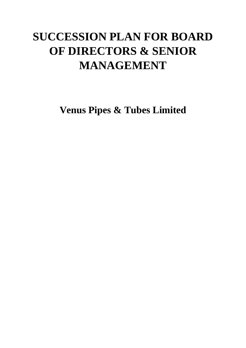# **SUCCESSION PLAN FOR BOARD OF DIRECTORS & SENIOR MANAGEMENT**

**Venus Pipes & Tubes Limited**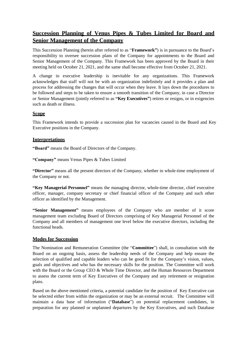# **Succession Planning of Venus Pipes & Tubes Limited for Board and Senior Management of the Company**

This Succession Planning (herein after referred to as "**Framework"**) is in pursuance to the Board's responsibility to oversee succession plans of the Company for appointments to the Board and Senior Management of the Company. This Framework has been approved by the Board in their meeting held on October 21, 2021, and the same shall become effective from October 21, 2021.

A change in executive leadership is inevitable for any organizations. This Framework acknowledges that staff will not be with an organization indefinitely and it provides a plan and process for addressing the changes that will occur when they leave. It lays down the procedures to be followed and steps to be taken to ensure a smooth transition of the Company, in case a Director or Senior Management (jointly referred to as **"Key Executives"**) retires or resigns, or in exigencies such as death or illness.

## **Scope**

This Framework intends to provide a succession plan for vacancies caused in the Board and Key Executive positions in the Company.

### **Interpretations**

**"Board"** means the Board of Directors of the Company.

**"Company"** means Venus Pipes & Tubes Limited

**"Director"** means all the present directors of the Company, whether in whole-time employment of the Company or not.

**"Key Managerial Personnel"** means the managing director, whole-time director, chief executive officer, manager, company secretary or chief financial officer of the Company and such other officer as identified by the Management.

**"Senior Management"** means employees of the Company who are member of it score management team excluding Board of Directors comprising of Key Managerial Personnel of the Company and all members of management one level below the executive directors, including the functional heads.

#### **Modes for Succession**

The Nomination and Remuneration Committee (the "**Committee**") shall, in consultation with the Board on an ongoing basis, assess the leadership needs of the Company and help ensure the selection of qualified and capable leaders who can be good fit for the Company's vision, values, goals and objectives and who has the necessary skills for the position. The Committee will work with the Board or the Group CEO & Whole Time Director, and the Human Resources Department to assess the current term of Key Executives of the Company and any retirement or resignation plans.

Based on the above mentioned criteria, a potential candidate for the position of Key Executive can be selected either from within the organization or may be an external recruit. The Committee will maintain a data base of information ("**Database**") on potential replacement candidates, in preparation for any planned or unplanned departures by the Key Executives, and such Database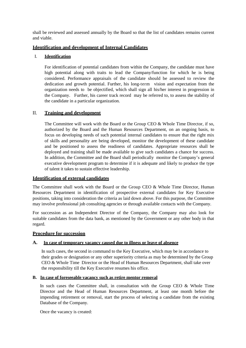shall be reviewed and assessed annually by the Board so that the list of candidates remains current and viable.

### **Identification and development of Internal Candidates**

### I. **Identification**

For identification of potential candidates from within the Company, the candidate must have high potential along with traits to lead the Company/function for which he is being considered. Performance appraisals of the candidate should be assessed to review the dedication and growth potential. Further, his long-term vision and expectation from the organization needs to be objectified, which shall sign all his/her interest in progression in the Company. Further, his career track record may be referred to, to assess the stability of the candidate in a particular organization.

### II. **Training and development**

The Committee will work with the Board or the Group CEO & Whole Time Director, if so, authorized by the Board and the Human Resources Department, on an ongoing basis, to focus on developing needs of such potential internal candidates to ensure that the right mix of skills and personality are being developed, monitor the development of these candidate and be positioned to assess the readiness of candidates. Appropriate resources shall be deployed and training shall be made available to give such candidates a chance for success. In addition, the Committee and the Board shall periodically monitor the Company's general executive development program to determine if it is adequate and likely to produce the type of talent it takes to sustain effective leadership.

#### **Identification of external candidates**

The Committee shall work with the Board or the Group CEO & Whole Time Director, Human Resources Department in identification of prospective external candidates for Key Executive positions, taking into consideration the criteria as laid down above. For this purpose, the Committee may involve professional job consulting agencies or through available contacts with the Company.

For succession as an Independent Director of the Company, the Company may also look for suitable candidates from the data bank, as mentioned by the Government or any other body in that regard.

#### **Procedure for succession**

#### **A. In case of temporary vacancy caused due to illness or leave of absence**

In such cases, the second in command to the Key Executive, which may be in accordance to their grades or designation or any other superiority criteria as may be determined by the Group CEO & Whole Time Director or the Head of Human Resources Department, shall take over the responsibility till the Key Executive resumes his office.

#### **B. In case of foreseeable vacancy such as retire mentor removal**

In such cases the Committee shall, in consultation with the Group CEO  $&$  Whole Time Director and the Head of Human Resources Department, at least one month before the impending retirement or removal, start the process of selecting a candidate from the existing Database of the Company.

Once the vacancy is created: